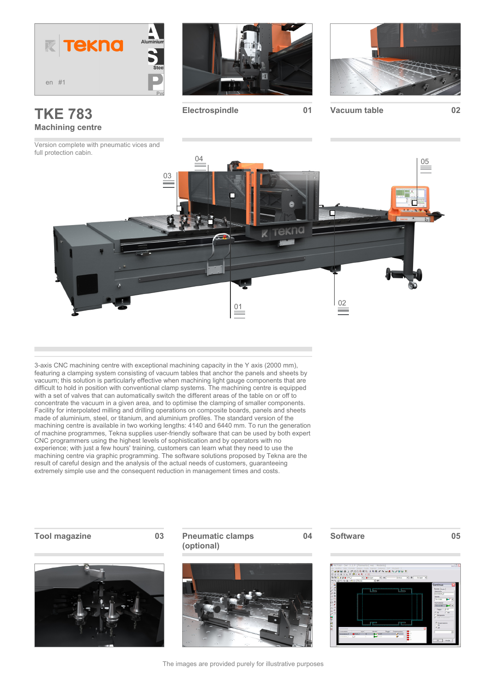

# **TKE 783 Machining centre**

Version complete with pneumatic vices and full protection cabin.



**Electrospindle 01 Vacuum table 02**





3-axis CNC machining centre with exceptional machining capacity in the Y axis (2000 mm), featuring a clamping system consisting of vacuum tables that anchor the panels and sheets by vacuum; this solution is particularly effective when machining light gauge components that are difficult to hold in position with conventional clamp systems. The machining centre is equipped with a set of valves that can automatically switch the different areas of the table on or off to concentrate the vacuum in a given area, and to optimise the clamping of smaller components. Facility for interpolated milling and drilling operations on composite boards, panels and sheets made of aluminium, steel, or titanium, and aluminium profiles. The standard version of the machining centre is available in two working lengths: 4140 and 6440 mm. To run the generation of machine programmes, Tekna supplies user-friendly software that can be used by both expert CNC programmers using the highest levels of sophistication and by operators with no experience; with just a few hours' training, customers can learn what they need to use the machining centre via graphic programming. The software solutions proposed by Tekna are the result of careful design and the analysis of the actual needs of customers, guaranteeing extremely simple use and the consequent reduction in management times and costs.



### **Tool magazine 03 Pneumatic clamps (optional)**



#### **04 Software 05**